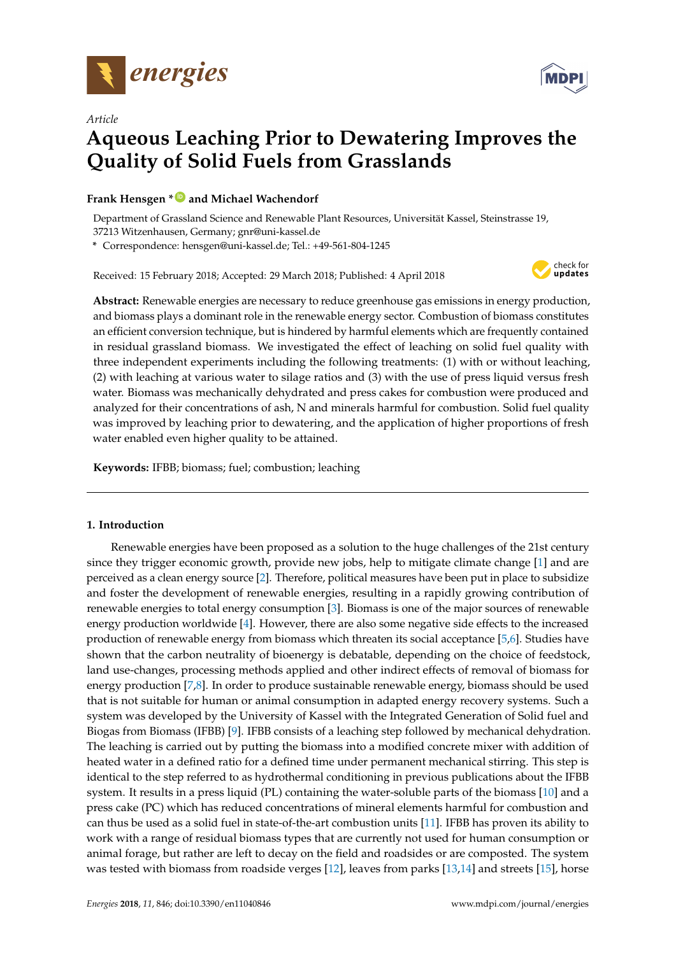

*Article*



# **Aqueous Leaching Prior to Dewatering Improves the Quality of Solid Fuels from Grasslands**

# **Frank Hensgen \* [ID](https://orcid.org/0000-0001-8735-7544) and Michael Wachendorf**

Department of Grassland Science and Renewable Plant Resources, Universität Kassel, Steinstrasse 19, 37213 Witzenhausen, Germany; gnr@uni-kassel.de

**\*** Correspondence: hensgen@uni-kassel.de; Tel.: +49-561-804-1245

Received: 15 February 2018; Accepted: 29 March 2018; Published: 4 April 2018



**Abstract:** Renewable energies are necessary to reduce greenhouse gas emissions in energy production, and biomass plays a dominant role in the renewable energy sector. Combustion of biomass constitutes an efficient conversion technique, but is hindered by harmful elements which are frequently contained in residual grassland biomass. We investigated the effect of leaching on solid fuel quality with three independent experiments including the following treatments: (1) with or without leaching, (2) with leaching at various water to silage ratios and (3) with the use of press liquid versus fresh water. Biomass was mechanically dehydrated and press cakes for combustion were produced and analyzed for their concentrations of ash, N and minerals harmful for combustion. Solid fuel quality was improved by leaching prior to dewatering, and the application of higher proportions of fresh water enabled even higher quality to be attained.

**Keywords:** IFBB; biomass; fuel; combustion; leaching

## **1. Introduction**

Renewable energies have been proposed as a solution to the huge challenges of the 21st century since they trigger economic growth, provide new jobs, help to mitigate climate change [\[1\]](#page-10-0) and are perceived as a clean energy source [\[2\]](#page-10-1). Therefore, political measures have been put in place to subsidize and foster the development of renewable energies, resulting in a rapidly growing contribution of renewable energies to total energy consumption [\[3\]](#page-10-2). Biomass is one of the major sources of renewable energy production worldwide [\[4\]](#page-10-3). However, there are also some negative side effects to the increased production of renewable energy from biomass which threaten its social acceptance [\[5,](#page-10-4)[6\]](#page-10-5). Studies have shown that the carbon neutrality of bioenergy is debatable, depending on the choice of feedstock, land use-changes, processing methods applied and other indirect effects of removal of biomass for energy production [\[7,](#page-11-0)[8\]](#page-11-1). In order to produce sustainable renewable energy, biomass should be used that is not suitable for human or animal consumption in adapted energy recovery systems. Such a system was developed by the University of Kassel with the Integrated Generation of Solid fuel and Biogas from Biomass (IFBB) [\[9\]](#page-11-2). IFBB consists of a leaching step followed by mechanical dehydration. The leaching is carried out by putting the biomass into a modified concrete mixer with addition of heated water in a defined ratio for a defined time under permanent mechanical stirring. This step is identical to the step referred to as hydrothermal conditioning in previous publications about the IFBB system. It results in a press liquid (PL) containing the water-soluble parts of the biomass [\[10\]](#page-11-3) and a press cake (PC) which has reduced concentrations of mineral elements harmful for combustion and can thus be used as a solid fuel in state-of-the-art combustion units [\[11\]](#page-11-4). IFBB has proven its ability to work with a range of residual biomass types that are currently not used for human consumption or animal forage, but rather are left to decay on the field and roadsides or are composted. The system was tested with biomass from roadside verges [\[12\]](#page-11-5), leaves from parks [\[13,](#page-11-6)[14\]](#page-11-7) and streets [\[15\]](#page-11-8), horse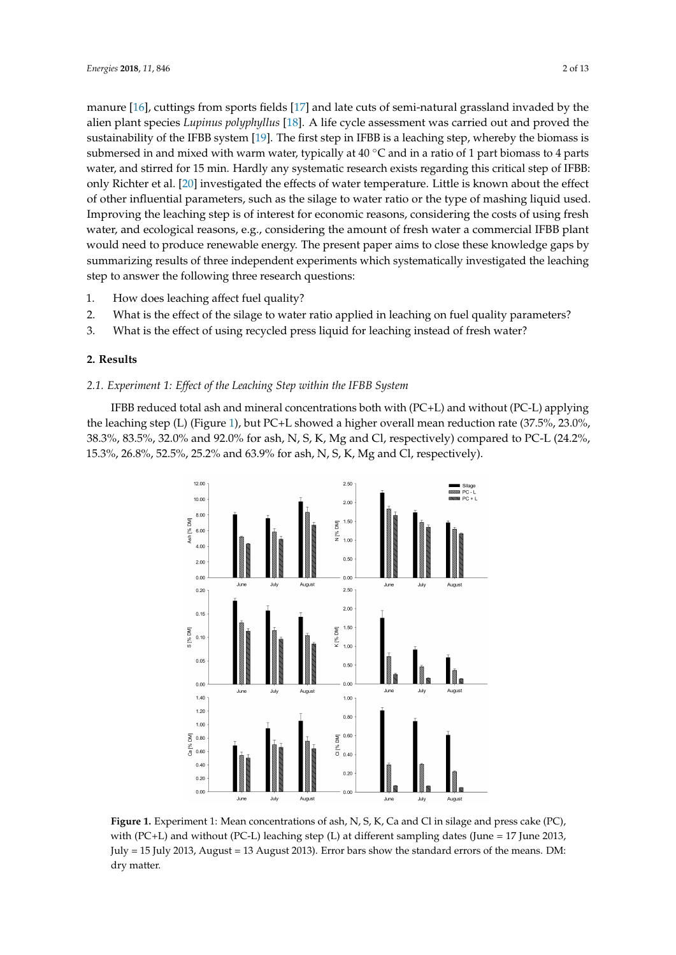manure [\[16\]](#page-11-9), cuttings from sports fields [\[17\]](#page-11-10) and late cuts of semi-natural grassland invaded by the alien plant species *Lupinus polyphyllus* [\[18\]](#page-11-11). A life cycle assessment was carried out and proved the sustainability of the IFBB system [\[19\]](#page-11-12). The first step in IFBB is a leaching step, whereby the biomass is submersed in and mixed with warm water, typically at  $40 °C$  and in a ratio of 1 part biomass to 4 parts water, and stirred for 15 min. Hardly any systematic research exists regarding this critical step of IFBB: only Richter et al. [\[20\]](#page-11-13) investigated the effects of water temperature. Little is known about the effect of other influential parameters, such as the silage to water ratio or the type of mashing liquid used. Improving the leaching step is of interest for economic reasons, considering the costs of using fresh water, and ecological reasons, e.g., considering the amount of fresh water a commercial IFBB plant would need to produce renewable energy. The present paper aims to close these knowledge gaps by summarizing results of three independent experiments which systematically investigated the leaching step to answer the following three research questions:

- 1. How does leaching affect fuel quality?
- 2. What is the effect of the silage to water ratio applied in leaching on fuel quality parameters?
- 3. What is the effect of using recycled press liquid for leaching instead of fresh water?

# **2. Results**

# *2.1. Experiment 1: Effect of the Leaching Step within the IFBB System*

<span id="page-1-0"></span>IFBB reduced total ash and mineral concentrations both with (PC+L) and without (PC-L) applying the leaching step (L) (Figure [1\)](#page-1-0), but PC+L showed a higher overall mean reduction rate (37.5%, 23.0%, 38.3%, 83.5%, 32.0% and 92.0% for ash, N, S, K, Mg and Cl, respectively) compared to PC-L (24.2%, 15.3%, 26.8%, 52.5%, 25.2% and 63.9% for ash, N, S, K, Mg and Cl, respectively).



**Figure 1.** Experiment 1: Mean concentrations of ash, N, S, K, Ca and Cl in silage and press cake (PC), with (PC+L) and without (PC-L) leaching step (L) at different sampling dates (June = 17 June 2013, July = 15 July 2013, August = 13 August 2013). Error bars show the standard errors of the means. DM: dry matter.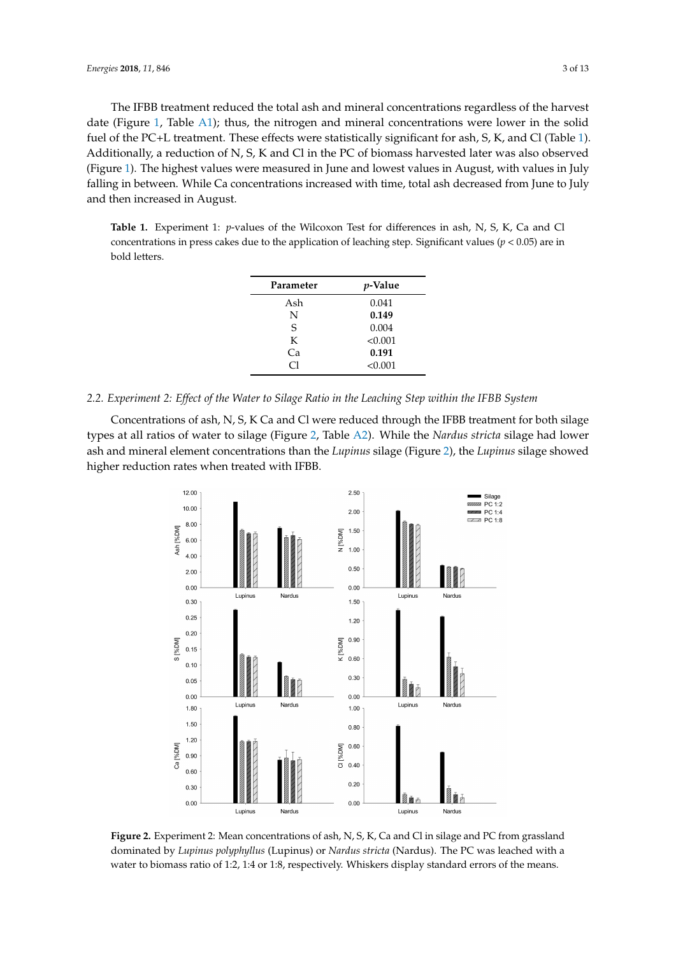The IFBB treatment reduced the total ash and mineral concentrations regardless of the harvest date (Figure [1,](#page-1-0) Table [A1\)](#page-10-6); thus, the nitrogen and mineral concentrations were lower in the solid fuel of the PC+L treatment. These effects were statistically significant for ash, S, K, and Cl (Table [1\)](#page-2-0). Additionally, a reduction of N, S, K and Cl in the PC of biomass harvested later was also observed (Figure [1\)](#page-1-0). The highest values were measured in June and lowest values in August, with values in July falling in between. While Ca concentrations increased with time, total ash decreased from June to July and then increased in August.

<span id="page-2-0"></span>**Table 1.** Experiment 1: *p*-values of the Wilcoxon Test for differences in ash, N, S, K, Ca and Cl concentrations in press cakes due to the application of leaching step. Significant values (*p* < 0.05) are in bold letters.

| Parameter | <i>p</i> -Value |
|-----------|-----------------|
| Ash       | 0.041           |
| N         | 0.149           |
| S         | 0.004           |
| K         | < 0.001         |
| Cа        | 0.191           |
| CI        | < 0.001         |

## *2.2. Experiment 2: Effect of the Water to Silage Ratio in the Leaching Step within the IFBB System*

<span id="page-2-1"></span>Concentrations of ash, N, S, K Ca and Cl were reduced through the IFBB treatment for both silage types at all ratios of water to silage (Figure [2,](#page-2-1) Table [A2\)](#page-10-7). While the *Nardus stricta* silage had lower ash and mineral element concentrations than the *Lupinus* silage (Figure [2\)](#page-2-1), the *Lupinus* silage showed higher reduction rates when treated with IFBB.



**Figure 2.** Experiment 2: Mean concentrations of ash, N, S, K, Ca and Cl in silage and PC from grassland dominated by *Lupinus polyphyllus* (Lupinus) or *Nardus stricta* (Nardus). The PC was leached with a water to biomass ratio of 1:2, 1:4 or 1:8, respectively. Whiskers display standard errors of the means.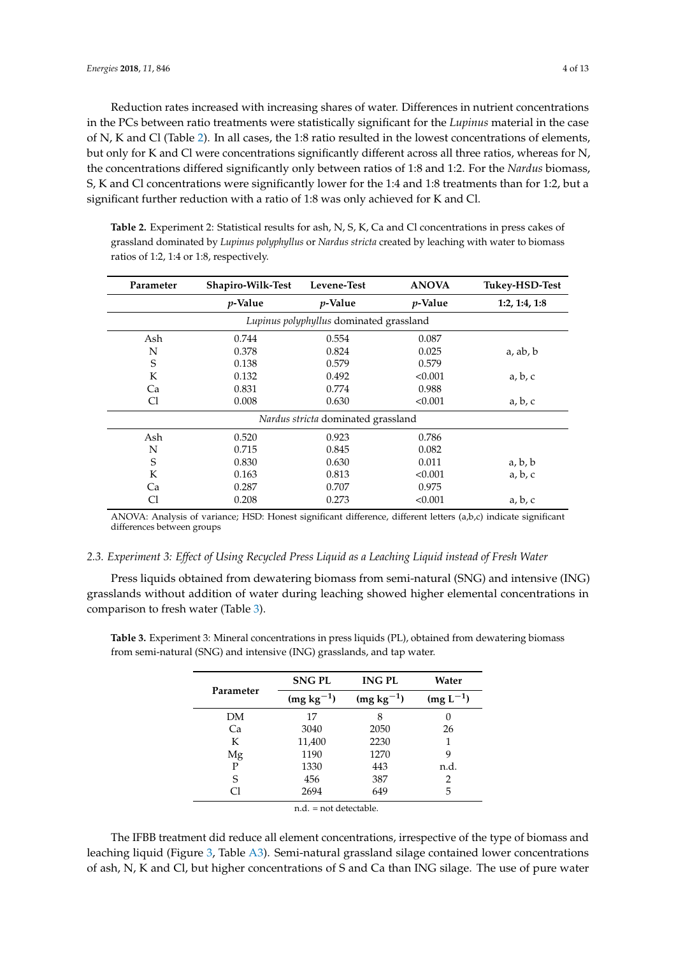Reduction rates increased with increasing shares of water. Differences in nutrient concentrations in the PCs between ratio treatments were statistically significant for the *Lupinus* material in the case of N, K and Cl (Table [2\)](#page-3-0). In all cases, the 1:8 ratio resulted in the lowest concentrations of elements, but only for K and Cl were concentrations significantly different across all three ratios, whereas for N, the concentrations differed significantly only between ratios of 1:8 and 1:2. For the *Nardus* biomass, S, K and Cl concentrations were significantly lower for the 1:4 and 1:8 treatments than for 1:2, but a significant further reduction with a ratio of 1:8 was only achieved for K and Cl.

<span id="page-3-0"></span>**Table 2.** Experiment 2: Statistical results for ash, N, S, K, Ca and Cl concentrations in press cakes of grassland dominated by *Lupinus polyphyllus* or *Nardus stricta* created by leaching with water to biomass ratios of 1:2, 1:4 or 1:8, respectively.

| Parameter | Shapiro-Wilk-Test<br>Levene-Test |                                         | <b>ANOVA</b> | Tukey-HSD-Test |
|-----------|----------------------------------|-----------------------------------------|--------------|----------------|
|           | $p$ -Value                       | $p$ -Value                              | $p$ -Value   | 1:2, 1:4, 1:8  |
|           |                                  | Lupinus polyphyllus dominated grassland |              |                |
| Ash       | 0.744                            | 0.554                                   | 0.087        |                |
| N         | 0.378                            | 0.824                                   | 0.025        | a, ab, b       |
| S         | 0.138                            | 0.579                                   | 0.579        |                |
| K         | 0.132                            | 0.492                                   | < 0.001      | a, b, c        |
| Ca        | 0.831                            | 0.774                                   | 0.988        |                |
| Cl        | 0.008                            | 0.630                                   | < 0.001      | a, b, c        |
|           |                                  | Nardus stricta dominated grassland      |              |                |
| Ash       | 0.520                            | 0.923                                   | 0.786        |                |
| N         | 0.715                            | 0.845                                   | 0.082        |                |
| S         | 0.830                            | 0.630                                   | 0.011        | a, b, b        |
| K         | 0.163                            | 0.813                                   | < 0.001      | a, b, c        |
| Ca        | 0.287                            | 0.707                                   | 0.975        |                |
| Сl        | 0.208                            | 0.273                                   | < 0.001      | a, b, c        |

ANOVA: Analysis of variance; HSD: Honest significant difference, different letters (a,b,c) indicate significant differences between groups

## *2.3. Experiment 3: Effect of Using Recycled Press Liquid as a Leaching Liquid instead of Fresh Water*

Press liquids obtained from dewatering biomass from semi-natural (SNG) and intensive (ING) grasslands without addition of water during leaching showed higher elemental concentrations in comparison to fresh water (Table [3\)](#page-3-1).

<span id="page-3-1"></span>**Table 3.** Experiment 3: Mineral concentrations in press liquids (PL), obtained from dewatering biomass from semi-natural (SNG) and intensive (ING) grasslands, and tap water.

|           | <b>SNGPL</b>   | <b>ING PL</b>  | Water         |  |
|-----------|----------------|----------------|---------------|--|
| Parameter | $(mg kg^{-1})$ | $(mg kg^{-1})$ | $(mg L^{-1})$ |  |
| DМ        | 17             | 8              | $\theta$      |  |
| Ca        | 3040           | 2050           | 26            |  |
| K         | 11,400         | 2230           |               |  |
| Mg        | 1190           | 1270           | 9             |  |
| P         | 1330           | 443            | n.d.          |  |
| S         | 456            | 387            |               |  |
|           | 2694           | 649            | 5             |  |

n.d. = not detectable.

The IFBB treatment did reduce all element concentrations, irrespective of the type of biomass and leaching liquid (Figure [3,](#page-4-0) Table [A3\)](#page-10-8). Semi-natural grassland silage contained lower concentrations of ash, N, K and Cl, but higher concentrations of S and Ca than ING silage. The use of pure water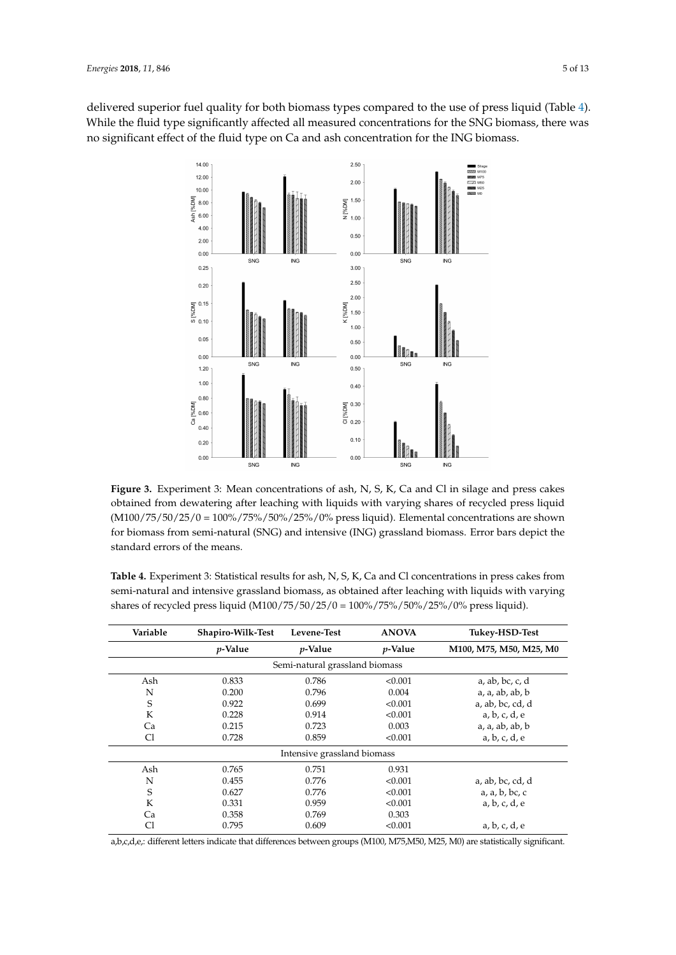<span id="page-4-0"></span>delivered superior fuel quality for both biomass types compared to the use of press liquid (Table [4\)](#page-4-1). While the fluid type significantly affected all measured concentrations for the SNG biomass, there was no significant effect of the fluid type on Ca and ash concentration for the ING biomass.



**Figure 3.** Experiment 3: Mean concentrations of ash, N, S, K, Ca and Cl in silage and press cakes obtained from dewatering after leaching with liquids with varying shares of recycled press liquid (M100/75/50/25/0 = 100%/75%/50%/25%/0% press liquid). Elemental concentrations are shown for biomass from semi-natural (SNG) and intensive (ING) grassland biomass. Error bars depict the standard errors of the means.

<span id="page-4-1"></span>**Table 4.** Experiment 3: Statistical results for ash, N, S, K, Ca and Cl concentrations in press cakes from semi-natural and intensive grassland biomass, as obtained after leaching with liquids with varying shares of recycled press liquid (M100/75/50/25/0 = 100%/75%/50%/25%/0% press liquid).

| Variable                    | Shapiro-Wilk-Test | Levene-Test                    | <b>ANOVA</b>    | Tukey-HSD-Test          |  |  |
|-----------------------------|-------------------|--------------------------------|-----------------|-------------------------|--|--|
|                             | <i>v</i> -Value   | <i>p</i> -Value                | <i>p</i> -Value | M100, M75, M50, M25, M0 |  |  |
|                             |                   | Semi-natural grassland biomass |                 |                         |  |  |
| Ash                         | 0.833             | 0.786                          | < 0.001         | $a$ , ab, bc, c, d      |  |  |
| N                           | 0.200             | 0.796                          | 0.004           | a, a, ab, ab, b         |  |  |
| S                           | 0.922             | 0.699                          | < 0.001         | a, ab, bc, cd, d        |  |  |
| K                           | 0.228             | 0.914                          | < 0.001         | a, b, c, d, e           |  |  |
| Ca                          | 0.215             | 0.723                          | 0.003           | a, a, ab, ab, b         |  |  |
| Cl                          | 0.728             | 0.859                          | < 0.001         | a, b, c, d, e           |  |  |
| Intensive grassland biomass |                   |                                |                 |                         |  |  |
| Ash                         | 0.765             | 0.751                          | 0.931           |                         |  |  |
| N                           | 0.455             | 0.776                          | < 0.001         | a, ab, bc, cd, d        |  |  |
| S                           | 0.627             | 0.776                          | < 0.001         | a, a, b, bc, c          |  |  |
| K                           | 0.331             | 0.959                          | < 0.001         | a, b, c, d, e           |  |  |
| Ca                          | 0.358             | 0.769                          | 0.303           |                         |  |  |
| Cl                          | 0.795             | 0.609                          | < 0.001         | a, b, c, d, e           |  |  |

a,b,c,d,e,: different letters indicate that differences between groups (M100, M75,M50, M25, M0) are statistically significant.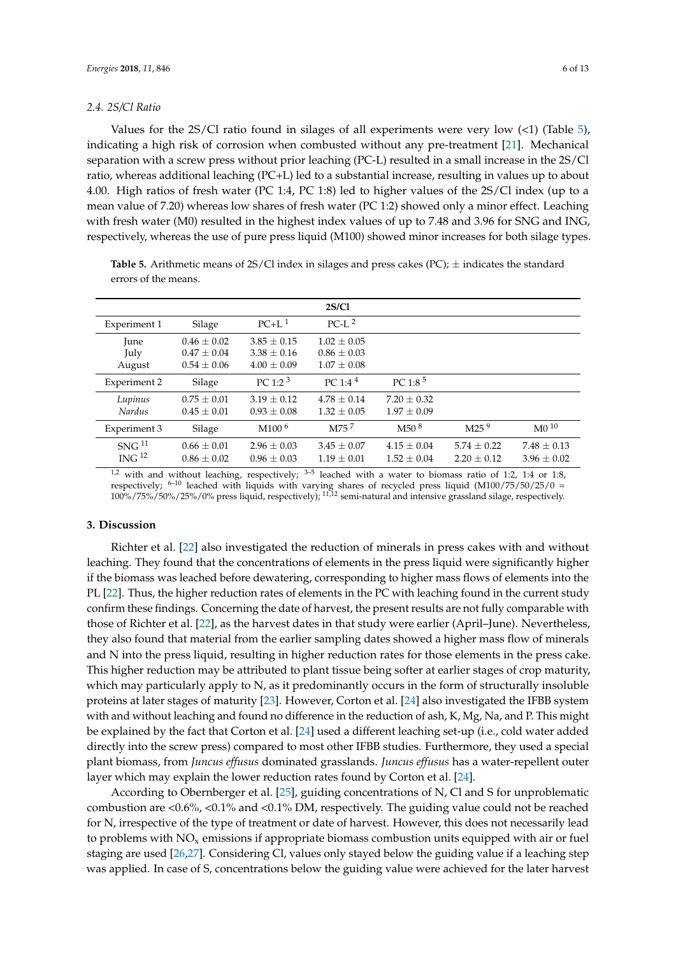## *2.4. 2S/Cl Ratio*

Values for the  $2S/Cl$  ratio found in silages of all experiments were very low  $(\leq 1)$  (Table [5\)](#page-5-0), indicating a high risk of corrosion when combusted without any pre-treatment [\[21\]](#page-11-14). Mechanical separation with a screw press without prior leaching (PC-L) resulted in a small increase in the 2S/Cl ratio, whereas additional leaching (PC+L) led to a substantial increase, resulting in values up to about 4.00. High ratios of fresh water (PC 1:4, PC 1:8) led to higher values of the 2S/Cl index (up to a mean value of 7.20) whereas low shares of fresh water (PC 1:2) showed only a minor effect. Leaching with fresh water (M0) resulted in the highest index values of up to 7.48 and 3.96 for SNG and ING, respectively, whereas the use of pure press liquid (M100) showed minor increases for both silage types.

| 2S/C1                                  |                                                       |                                                       |                                                       |                                    |                                    |                                    |  |  |
|----------------------------------------|-------------------------------------------------------|-------------------------------------------------------|-------------------------------------------------------|------------------------------------|------------------------------------|------------------------------------|--|--|
| Experiment 1                           | Silage                                                | $PC+L^1$                                              | $PC-L^2$                                              |                                    |                                    |                                    |  |  |
| June<br>July<br>August                 | $0.46 \pm 0.02$<br>$0.47 \pm 0.04$<br>$0.54 \pm 0.06$ | $3.85 \pm 0.15$<br>$3.38 \pm 0.16$<br>$4.00 \pm 0.09$ | $1.02 \pm 0.05$<br>$0.86 \pm 0.03$<br>$1.07 \pm 0.08$ |                                    |                                    |                                    |  |  |
| Experiment 2                           | Silage                                                | $PC 1:2^3$                                            | $PC 1:4^4$                                            | $PC 1:8^5$                         |                                    |                                    |  |  |
| Lupinus<br>Nardus                      | $0.75 \pm 0.01$<br>$0.45 \pm 0.01$                    | $3.19 \pm 0.12$<br>$0.93 \pm 0.08$                    | $4.78 \pm 0.14$<br>$1.32 \pm 0.05$                    | $7.20 \pm 0.32$<br>$1.97 \pm 0.09$ |                                    |                                    |  |  |
| Experiment 3                           | Silage                                                | M100 <sup>6</sup>                                     | M75 <sup>7</sup>                                      | M50 <sup>8</sup>                   | M25 <sup>9</sup>                   | $\mathrm{M}0^{10}$                 |  |  |
| SNG <sup>11</sup><br>ING <sup>12</sup> | $0.66 \pm 0.01$<br>$0.86 \pm 0.02$                    | $2.96 \pm 0.03$<br>$0.96 \pm 0.03$                    | $3.45 \pm 0.07$<br>$1.19 \pm 0.01$                    | $4.15 \pm 0.04$<br>$1.52 \pm 0.04$ | $5.74 \pm 0.22$<br>$2.20 \pm 0.12$ | $7.48 \pm 0.13$<br>$3.96 \pm 0.02$ |  |  |

<span id="page-5-0"></span>**Table 5.** Arithmetic means of 2S/Cl index in silages and press cakes (PC); ± indicates the standard errors of the means.

 $1,2$  with and without leaching, respectively;  $3-5$  leached with a water to biomass ratio of 1:2, 1:4 or 1:8, respectively;  $6-10$  leached with liquids with varying shares of recycled press liquid (M100/75/50/25/0 =  $100\%/75\%/50\%/25\%/0\%$  press liquid, respectively);  $^{11,12}$  semi-natural and intensive grassland silage, respectively.

## **3. Discussion**

Richter et al. [\[22\]](#page-11-15) also investigated the reduction of minerals in press cakes with and without leaching. They found that the concentrations of elements in the press liquid were significantly higher if the biomass was leached before dewatering, corresponding to higher mass flows of elements into the PL [\[22\]](#page-11-15). Thus, the higher reduction rates of elements in the PC with leaching found in the current study confirm these findings. Concerning the date of harvest, the present results are not fully comparable with those of Richter et al. [\[22\]](#page-11-15), as the harvest dates in that study were earlier (April–June). Nevertheless, they also found that material from the earlier sampling dates showed a higher mass flow of minerals and N into the press liquid, resulting in higher reduction rates for those elements in the press cake. This higher reduction may be attributed to plant tissue being softer at earlier stages of crop maturity, which may particularly apply to N, as it predominantly occurs in the form of structurally insoluble proteins at later stages of maturity [\[23\]](#page-11-16). However, Corton et al. [\[24\]](#page-11-17) also investigated the IFBB system with and without leaching and found no difference in the reduction of ash, K, Mg, Na, and P. This might be explained by the fact that Corton et al. [\[24\]](#page-11-17) used a different leaching set-up (i.e., cold water added directly into the screw press) compared to most other IFBB studies. Furthermore, they used a special plant biomass, from *Juncus effusus* dominated grasslands. *Juncus effusus* has a water-repellent outer layer which may explain the lower reduction rates found by Corton et al. [\[24\]](#page-11-17).

According to Obernberger et al. [\[25\]](#page-11-18), guiding concentrations of N, Cl and S for unproblematic combustion are <0.6%, <0.1% and <0.1% DM, respectively. The guiding value could not be reached for N, irrespective of the type of treatment or date of harvest. However, this does not necessarily lead to problems with  $NO<sub>x</sub>$  emissions if appropriate biomass combustion units equipped with air or fuel staging are used [\[26](#page-11-19)[,27\]](#page-11-20). Considering Cl, values only stayed below the guiding value if a leaching step was applied. In case of S, concentrations below the guiding value were achieved for the later harvest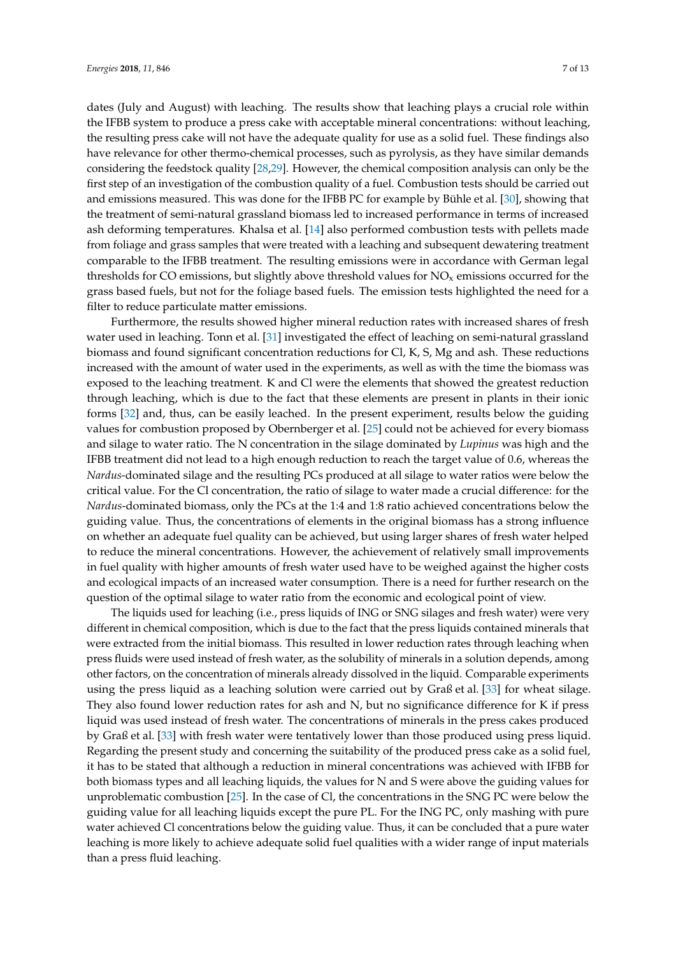dates (July and August) with leaching. The results show that leaching plays a crucial role within the IFBB system to produce a press cake with acceptable mineral concentrations: without leaching, the resulting press cake will not have the adequate quality for use as a solid fuel. These findings also have relevance for other thermo-chemical processes, such as pyrolysis, as they have similar demands considering the feedstock quality [\[28](#page-12-0)[,29\]](#page-12-1). However, the chemical composition analysis can only be the first step of an investigation of the combustion quality of a fuel. Combustion tests should be carried out and emissions measured. This was done for the IFBB PC for example by Bühle et al. [\[30\]](#page-12-2), showing that the treatment of semi-natural grassland biomass led to increased performance in terms of increased ash deforming temperatures. Khalsa et al. [\[14\]](#page-11-7) also performed combustion tests with pellets made from foliage and grass samples that were treated with a leaching and subsequent dewatering treatment comparable to the IFBB treatment. The resulting emissions were in accordance with German legal thresholds for CO emissions, but slightly above threshold values for  $NO<sub>x</sub>$  emissions occurred for the grass based fuels, but not for the foliage based fuels. The emission tests highlighted the need for a filter to reduce particulate matter emissions.

Furthermore, the results showed higher mineral reduction rates with increased shares of fresh water used in leaching. Tonn et al. [\[31\]](#page-12-3) investigated the effect of leaching on semi-natural grassland biomass and found significant concentration reductions for Cl, K, S, Mg and ash. These reductions increased with the amount of water used in the experiments, as well as with the time the biomass was exposed to the leaching treatment. K and Cl were the elements that showed the greatest reduction through leaching, which is due to the fact that these elements are present in plants in their ionic forms [\[32\]](#page-12-4) and, thus, can be easily leached. In the present experiment, results below the guiding values for combustion proposed by Obernberger et al. [\[25\]](#page-11-18) could not be achieved for every biomass and silage to water ratio. The N concentration in the silage dominated by *Lupinus* was high and the IFBB treatment did not lead to a high enough reduction to reach the target value of 0.6, whereas the *Nardus*-dominated silage and the resulting PCs produced at all silage to water ratios were below the critical value. For the Cl concentration, the ratio of silage to water made a crucial difference: for the *Nardus*-dominated biomass, only the PCs at the 1:4 and 1:8 ratio achieved concentrations below the guiding value. Thus, the concentrations of elements in the original biomass has a strong influence on whether an adequate fuel quality can be achieved, but using larger shares of fresh water helped to reduce the mineral concentrations. However, the achievement of relatively small improvements in fuel quality with higher amounts of fresh water used have to be weighed against the higher costs and ecological impacts of an increased water consumption. There is a need for further research on the question of the optimal silage to water ratio from the economic and ecological point of view.

The liquids used for leaching (i.e., press liquids of ING or SNG silages and fresh water) were very different in chemical composition, which is due to the fact that the press liquids contained minerals that were extracted from the initial biomass. This resulted in lower reduction rates through leaching when press fluids were used instead of fresh water, as the solubility of minerals in a solution depends, among other factors, on the concentration of minerals already dissolved in the liquid. Comparable experiments using the press liquid as a leaching solution were carried out by Graß et al. [\[33\]](#page-12-5) for wheat silage. They also found lower reduction rates for ash and N, but no significance difference for K if press liquid was used instead of fresh water. The concentrations of minerals in the press cakes produced by Graß et al. [\[33\]](#page-12-5) with fresh water were tentatively lower than those produced using press liquid. Regarding the present study and concerning the suitability of the produced press cake as a solid fuel, it has to be stated that although a reduction in mineral concentrations was achieved with IFBB for both biomass types and all leaching liquids, the values for N and S were above the guiding values for unproblematic combustion [\[25\]](#page-11-18). In the case of Cl, the concentrations in the SNG PC were below the guiding value for all leaching liquids except the pure PL. For the ING PC, only mashing with pure water achieved Cl concentrations below the guiding value. Thus, it can be concluded that a pure water leaching is more likely to achieve adequate solid fuel qualities with a wider range of input materials than a press fluid leaching.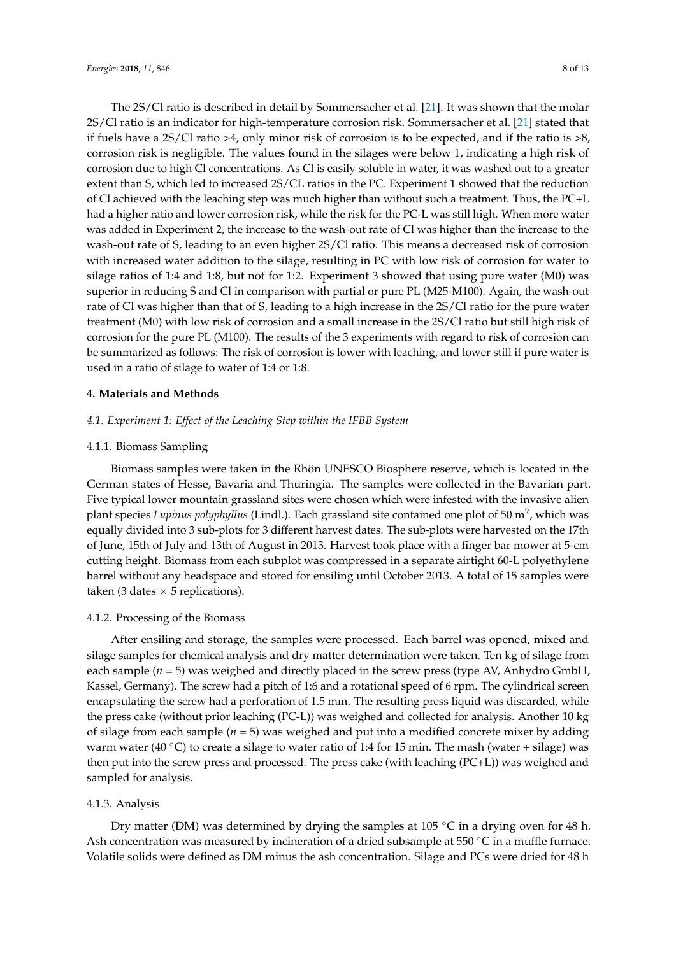The 2S/Cl ratio is described in detail by Sommersacher et al. [\[21\]](#page-11-14). It was shown that the molar 2S/Cl ratio is an indicator for high-temperature corrosion risk. Sommersacher et al. [\[21\]](#page-11-14) stated that if fuels have a 2S/Cl ratio >4, only minor risk of corrosion is to be expected, and if the ratio is >8, corrosion risk is negligible. The values found in the silages were below 1, indicating a high risk of corrosion due to high Cl concentrations. As Cl is easily soluble in water, it was washed out to a greater extent than S, which led to increased 2S/CL ratios in the PC. Experiment 1 showed that the reduction of Cl achieved with the leaching step was much higher than without such a treatment. Thus, the PC+L had a higher ratio and lower corrosion risk, while the risk for the PC-L was still high. When more water was added in Experiment 2, the increase to the wash-out rate of Cl was higher than the increase to the wash-out rate of S, leading to an even higher 2S/Cl ratio. This means a decreased risk of corrosion with increased water addition to the silage, resulting in PC with low risk of corrosion for water to silage ratios of 1:4 and 1:8, but not for 1:2. Experiment 3 showed that using pure water (M0) was superior in reducing S and Cl in comparison with partial or pure PL (M25-M100). Again, the wash-out rate of Cl was higher than that of S, leading to a high increase in the 2S/Cl ratio for the pure water treatment (M0) with low risk of corrosion and a small increase in the 2S/Cl ratio but still high risk of corrosion for the pure PL (M100). The results of the 3 experiments with regard to risk of corrosion can be summarized as follows: The risk of corrosion is lower with leaching, and lower still if pure water is used in a ratio of silage to water of 1:4 or 1:8.

### **4. Materials and Methods**

## *4.1. Experiment 1: Effect of the Leaching Step within the IFBB System*

### 4.1.1. Biomass Sampling

Biomass samples were taken in the Rhön UNESCO Biosphere reserve, which is located in the German states of Hesse, Bavaria and Thuringia. The samples were collected in the Bavarian part. Five typical lower mountain grassland sites were chosen which were infested with the invasive alien plant species *Lupinus polyphyllus* (Lindl.). Each grassland site contained one plot of 50 m<sup>2</sup>, which was equally divided into 3 sub-plots for 3 different harvest dates. The sub-plots were harvested on the 17th of June, 15th of July and 13th of August in 2013. Harvest took place with a finger bar mower at 5-cm cutting height. Biomass from each subplot was compressed in a separate airtight 60-L polyethylene barrel without any headspace and stored for ensiling until October 2013. A total of 15 samples were taken (3 dates  $\times$  5 replications).

## <span id="page-7-0"></span>4.1.2. Processing of the Biomass

After ensiling and storage, the samples were processed. Each barrel was opened, mixed and silage samples for chemical analysis and dry matter determination were taken. Ten kg of silage from each sample  $(n = 5)$  was weighed and directly placed in the screw press (type AV, Anhydro GmbH, Kassel, Germany). The screw had a pitch of 1:6 and a rotational speed of 6 rpm. The cylindrical screen encapsulating the screw had a perforation of 1.5 mm. The resulting press liquid was discarded, while the press cake (without prior leaching (PC-L)) was weighed and collected for analysis. Another 10 kg of silage from each sample (*n* = 5) was weighed and put into a modified concrete mixer by adding warm water (40 °C) to create a silage to water ratio of 1:4 for 15 min. The mash (water + silage) was then put into the screw press and processed. The press cake (with leaching (PC+L)) was weighed and sampled for analysis.

#### <span id="page-7-1"></span>4.1.3. Analysis

Dry matter (DM) was determined by drying the samples at 105 °C in a drying oven for 48 h. Ash concentration was measured by incineration of a dried subsample at 550  $\degree$ C in a muffle furnace. Volatile solids were defined as DM minus the ash concentration. Silage and PCs were dried for 48 h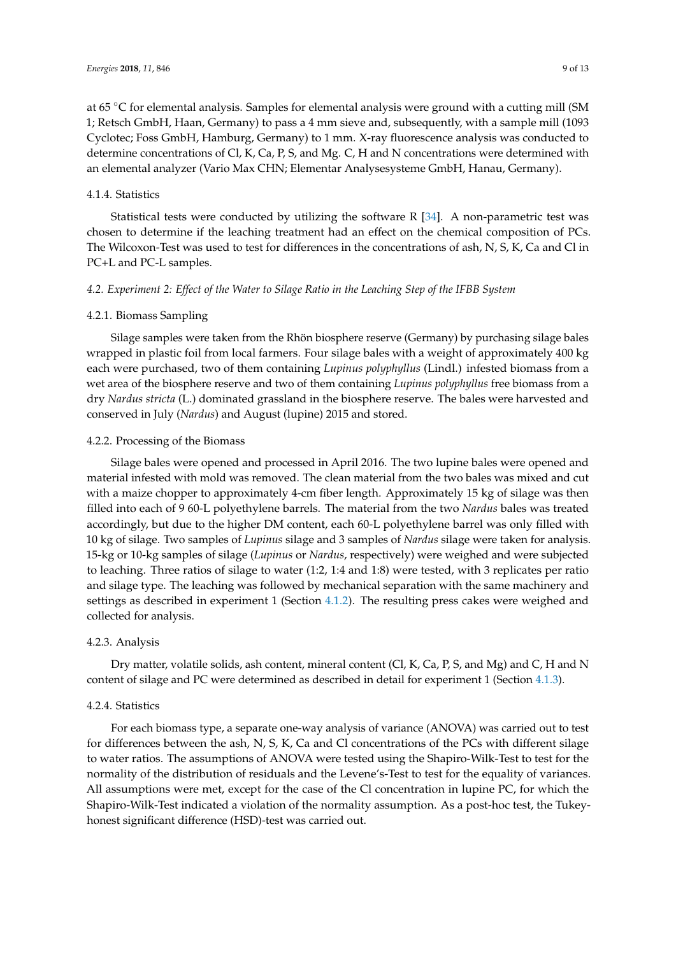at 65 ◦C for elemental analysis. Samples for elemental analysis were ground with a cutting mill (SM 1; Retsch GmbH, Haan, Germany) to pass a 4 mm sieve and, subsequently, with a sample mill (1093 Cyclotec; Foss GmbH, Hamburg, Germany) to 1 mm. X-ray fluorescence analysis was conducted to determine concentrations of Cl, K, Ca, P, S, and Mg. C, H and N concentrations were determined with an elemental analyzer (Vario Max CHN; Elementar Analysesysteme GmbH, Hanau, Germany).

## 4.1.4. Statistics

Statistical tests were conducted by utilizing the software R [\[34\]](#page-12-6). A non-parametric test was chosen to determine if the leaching treatment had an effect on the chemical composition of PCs. The Wilcoxon-Test was used to test for differences in the concentrations of ash, N, S, K, Ca and Cl in PC+L and PC-L samples.

# *4.2. Experiment 2: Effect of the Water to Silage Ratio in the Leaching Step of the IFBB System*

## 4.2.1. Biomass Sampling

Silage samples were taken from the Rhön biosphere reserve (Germany) by purchasing silage bales wrapped in plastic foil from local farmers. Four silage bales with a weight of approximately 400 kg each were purchased, two of them containing *Lupinus polyphyllus* (Lindl.) infested biomass from a wet area of the biosphere reserve and two of them containing *Lupinus polyphyllus* free biomass from a dry *Nardus stricta* (L.) dominated grassland in the biosphere reserve. The bales were harvested and conserved in July (*Nardus*) and August (lupine) 2015 and stored.

## 4.2.2. Processing of the Biomass

Silage bales were opened and processed in April 2016. The two lupine bales were opened and material infested with mold was removed. The clean material from the two bales was mixed and cut with a maize chopper to approximately 4-cm fiber length. Approximately 15 kg of silage was then filled into each of 9 60-L polyethylene barrels. The material from the two *Nardus* bales was treated accordingly, but due to the higher DM content, each 60-L polyethylene barrel was only filled with 10 kg of silage. Two samples of *Lupinus* silage and 3 samples of *Nardus* silage were taken for analysis. 15-kg or 10-kg samples of silage (*Lupinus* or *Nardus*, respectively) were weighed and were subjected to leaching. Three ratios of silage to water (1:2, 1:4 and 1:8) were tested, with 3 replicates per ratio and silage type. The leaching was followed by mechanical separation with the same machinery and settings as described in experiment 1 (Section [4.1.2\)](#page-7-0). The resulting press cakes were weighed and collected for analysis.

## 4.2.3. Analysis

Dry matter, volatile solids, ash content, mineral content (Cl, K, Ca, P, S, and Mg) and C, H and N content of silage and PC were determined as described in detail for experiment 1 (Section [4.1.3\)](#page-7-1).

## 4.2.4. Statistics

For each biomass type, a separate one-way analysis of variance (ANOVA) was carried out to test for differences between the ash, N, S, K, Ca and Cl concentrations of the PCs with different silage to water ratios. The assumptions of ANOVA were tested using the Shapiro-Wilk-Test to test for the normality of the distribution of residuals and the Levene's-Test to test for the equality of variances. All assumptions were met, except for the case of the Cl concentration in lupine PC, for which the Shapiro-Wilk-Test indicated a violation of the normality assumption. As a post-hoc test, the Tukeyhonest significant difference (HSD)-test was carried out.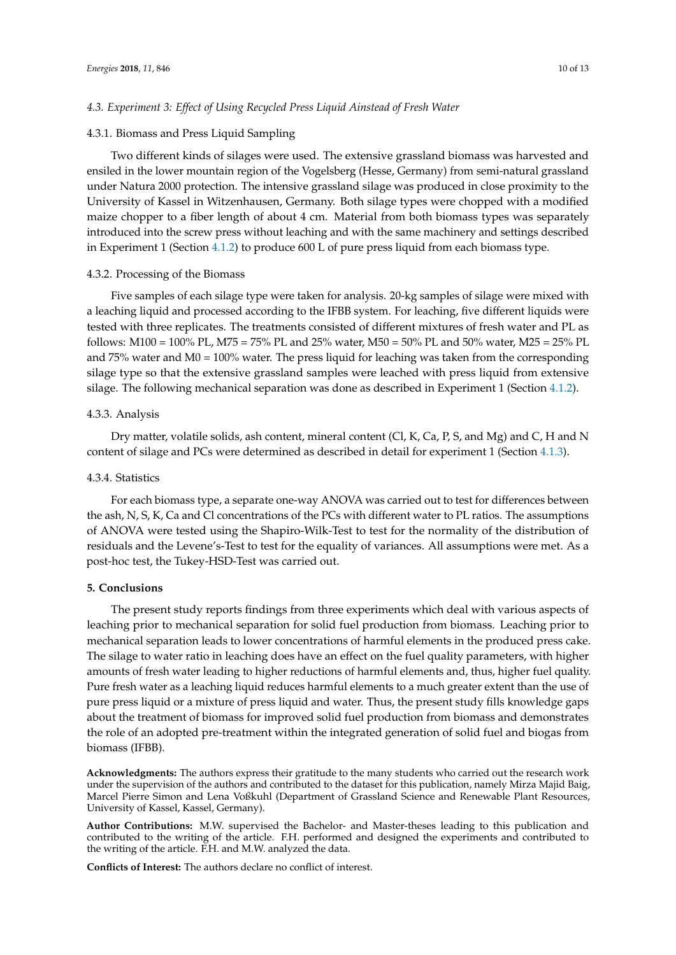## *4.3. Experiment 3: Effect of Using Recycled Press Liquid Ainstead of Fresh Water*

#### 4.3.1. Biomass and Press Liquid Sampling

Two different kinds of silages were used. The extensive grassland biomass was harvested and ensiled in the lower mountain region of the Vogelsberg (Hesse, Germany) from semi-natural grassland under Natura 2000 protection. The intensive grassland silage was produced in close proximity to the University of Kassel in Witzenhausen, Germany. Both silage types were chopped with a modified maize chopper to a fiber length of about 4 cm. Material from both biomass types was separately introduced into the screw press without leaching and with the same machinery and settings described in Experiment 1 (Section [4.1.2\)](#page-7-0) to produce 600 L of pure press liquid from each biomass type.

## 4.3.2. Processing of the Biomass

Five samples of each silage type were taken for analysis. 20-kg samples of silage were mixed with a leaching liquid and processed according to the IFBB system. For leaching, five different liquids were tested with three replicates. The treatments consisted of different mixtures of fresh water and PL as follows: M100 = 100% PL, M75 = 75% PL and 25% water, M50 = 50% PL and 50% water, M25 = 25% PL and 75% water and M0 = 100% water. The press liquid for leaching was taken from the corresponding silage type so that the extensive grassland samples were leached with press liquid from extensive silage. The following mechanical separation was done as described in Experiment 1 (Section [4.1.2\)](#page-7-0).

## 4.3.3. Analysis

Dry matter, volatile solids, ash content, mineral content (Cl, K, Ca, P, S, and Mg) and C, H and N content of silage and PCs were determined as described in detail for experiment 1 (Section [4.1.3\)](#page-7-1).

## 4.3.4. Statistics

For each biomass type, a separate one-way ANOVA was carried out to test for differences between the ash, N, S, K, Ca and Cl concentrations of the PCs with different water to PL ratios. The assumptions of ANOVA were tested using the Shapiro-Wilk-Test to test for the normality of the distribution of residuals and the Levene's-Test to test for the equality of variances. All assumptions were met. As a post-hoc test, the Tukey-HSD-Test was carried out.

## **5. Conclusions**

The present study reports findings from three experiments which deal with various aspects of leaching prior to mechanical separation for solid fuel production from biomass. Leaching prior to mechanical separation leads to lower concentrations of harmful elements in the produced press cake. The silage to water ratio in leaching does have an effect on the fuel quality parameters, with higher amounts of fresh water leading to higher reductions of harmful elements and, thus, higher fuel quality. Pure fresh water as a leaching liquid reduces harmful elements to a much greater extent than the use of pure press liquid or a mixture of press liquid and water. Thus, the present study fills knowledge gaps about the treatment of biomass for improved solid fuel production from biomass and demonstrates the role of an adopted pre-treatment within the integrated generation of solid fuel and biogas from biomass (IFBB).

**Acknowledgments:** The authors express their gratitude to the many students who carried out the research work under the supervision of the authors and contributed to the dataset for this publication, namely Mirza Majid Baig, Marcel Pierre Simon and Lena Voßkuhl (Department of Grassland Science and Renewable Plant Resources, University of Kassel, Kassel, Germany).

**Author Contributions:** M.W. supervised the Bachelor- and Master-theses leading to this publication and contributed to the writing of the article. F.H. performed and designed the experiments and contributed to the writing of the article. F.H. and M.W. analyzed the data.

**Conflicts of Interest:** The authors declare no conflict of interest.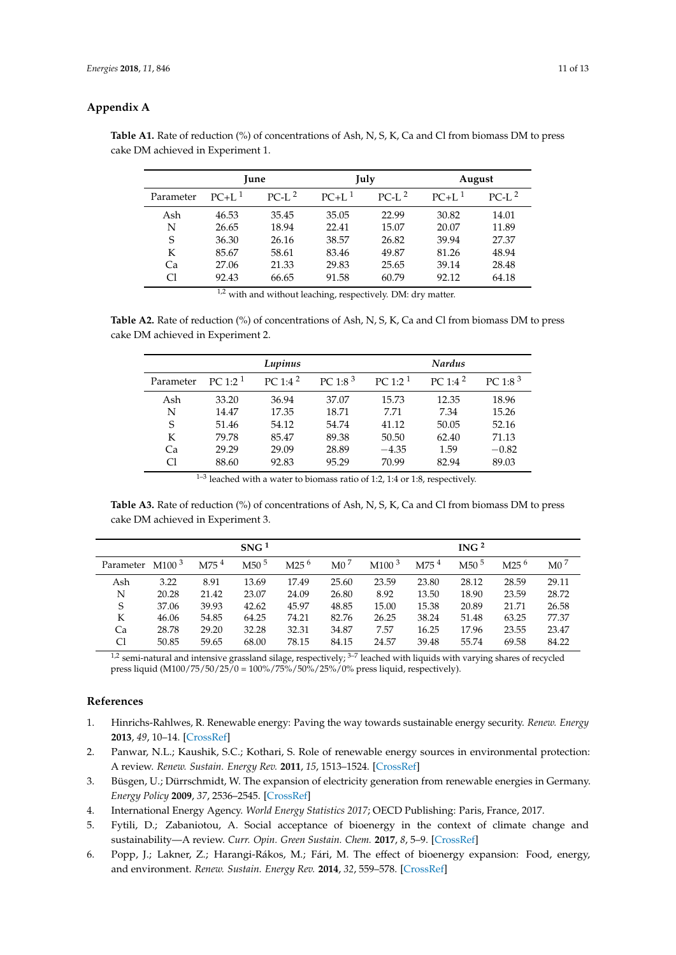## <span id="page-10-6"></span>**Appendix A**

|           |          | <b>June</b> |          | July    | August   |         |  |
|-----------|----------|-------------|----------|---------|----------|---------|--|
| Parameter | $PC+L^1$ | $PC-I2$     | $PC+L^1$ | $PC-I2$ | $PC+L^1$ | $PC-I2$ |  |
| Ash       | 46.53    | 35.45       | 35.05    | 22.99   | 30.82    | 14.01   |  |
| N         | 26.65    | 18.94       | 22.41    | 15.07   | 20.07    | 11.89   |  |
| S         | 36.30    | 26.16       | 38.57    | 26.82   | 39.94    | 27.37   |  |
| K         | 85.67    | 58.61       | 83.46    | 49.87   | 81.26    | 48.94   |  |
| Ca        | 27.06    | 21.33       | 29.83    | 25.65   | 39.14    | 28.48   |  |
| Сl        | 92.43    | 66.65       | 91.58    | 60.79   | 92.12    | 64.18   |  |

**Table A1.** Rate of reduction (%) of concentrations of Ash, N, S, K, Ca and Cl from biomass DM to press cake DM achieved in Experiment 1.

<sup>1,2</sup> with and without leaching, respectively. DM: dry matter.

<span id="page-10-7"></span>**Table A2.** Rate of reduction (%) of concentrations of Ash, N, S, K, Ca and Cl from biomass DM to press cake DM achieved in Experiment 2.

|           |            | Lupinus             |                     |            | <b>Nardus</b> |                     |
|-----------|------------|---------------------|---------------------|------------|---------------|---------------------|
| Parameter | PC 1:2 $1$ | PC 1:4 <sup>2</sup> | PC 1:8 <sup>3</sup> | PC 1:2 $1$ | PC 1:4 $2$    | PC 1:8 <sup>3</sup> |
| Ash       | 33.20      | 36.94               | 37.07               | 15.73      | 12.35         | 18.96               |
| N         | 14.47      | 17.35               | 18.71               | 7.71       | 7.34          | 15.26               |
| S         | 51.46      | 54.12               | 54.74               | 41.12      | 50.05         | 52.16               |
| K         | 79.78      | 85.47               | 89.38               | 50.50      | 62.40         | 71.13               |
| Ca        | 29.29      | 29.09               | 28.89               | $-4.35$    | 1.59          | $-0.82$             |
| Сl        | 88.60      | 92.83               | 95.29               | 70.99      | 82.94         | 89.03               |

<sup>&</sup>lt;sup>1-3</sup> leached with a water to biomass ratio of 1:2, 1:4 or 1:8, respectively.

<span id="page-10-8"></span>**Table A3.** Rate of reduction (%) of concentrations of Ash, N, S, K, Ca and Cl from biomass DM to press cake DM achieved in Experiment 3.

|           |                   |                    | SNG <sup>1</sup> |                  |                 |                   |                    | ING <sup>2</sup> |                  |                 |
|-----------|-------------------|--------------------|------------------|------------------|-----------------|-------------------|--------------------|------------------|------------------|-----------------|
| Parameter | M100 <sup>3</sup> | $M75$ <sup>4</sup> | M50 <sup>5</sup> | M25 <sup>6</sup> | $\mathrm{M}0^7$ | M100 <sup>3</sup> | $M75$ <sup>4</sup> | M50 <sup>5</sup> | M25 <sup>6</sup> | M0 <sup>7</sup> |
| Ash       | 3.22              | 8.91               | 13.69            | 17.49            | 25.60           | 23.59             | 23.80              | 28.12            | 28.59            | 29.11           |
| N         | 20.28             | 21.42              | 23.07            | 24.09            | 26.80           | 8.92              | 13.50              | 18.90            | 23.59            | 28.72           |
| S         | 37.06             | 39.93              | 42.62            | 45.97            | 48.85           | 15.00             | 15.38              | 20.89            | 21.71            | 26.58           |
| K         | 46.06             | 54.85              | 64.25            | 74.21            | 82.76           | 26.25             | 38.24              | 51.48            | 63.25            | 77.37           |
| Ca        | 28.78             | 29.20              | 32.28            | 32.31            | 34.87           | 7.57              | 16.25              | 17.96            | 23.55            | 23.47           |
| Cl        | 50.85             | 59.65              | 68.00            | 78.15            | 84.15           | 24.57             | 39.48              | 55.74            | 69.58            | 84.22           |

 $1,2$  semi-natural and intensive grassland silage, respectively;  $3-7$  leached with liquids with varying shares of recycled press liquid (M100/75/50/25/0 = 100%/75%/50%/25%/0% press liquid, respectively).

## **References**

- <span id="page-10-0"></span>1. Hinrichs-Rahlwes, R. Renewable energy: Paving the way towards sustainable energy security. *Renew. Energy* **2013**, *49*, 10–14. [\[CrossRef\]](http://dx.doi.org/10.1016/j.renene.2012.01.076)
- <span id="page-10-1"></span>2. Panwar, N.L.; Kaushik, S.C.; Kothari, S. Role of renewable energy sources in environmental protection: A review. *Renew. Sustain. Energy Rev.* **2011**, *15*, 1513–1524. [\[CrossRef\]](http://dx.doi.org/10.1016/j.rser.2010.11.037)
- <span id="page-10-2"></span>3. Büsgen, U.; Dürrschmidt, W. The expansion of electricity generation from renewable energies in Germany. *Energy Policy* **2009**, *37*, 2536–2545. [\[CrossRef\]](http://dx.doi.org/10.1016/j.enpol.2008.10.048)
- <span id="page-10-3"></span>4. International Energy Agency. *World Energy Statistics 2017*; OECD Publishing: Paris, France, 2017.
- <span id="page-10-4"></span>5. Fytili, D.; Zabaniotou, A. Social acceptance of bioenergy in the context of climate change and sustainability—A review. *Curr. Opin. Green Sustain. Chem.* **2017**, *8*, 5–9. [\[CrossRef\]](http://dx.doi.org/10.1016/j.cogsc.2017.07.006)
- <span id="page-10-5"></span>6. Popp, J.; Lakner, Z.; Harangi-Rákos, M.; Fári, M. The effect of bioenergy expansion: Food, energy, and environment. *Renew. Sustain. Energy Rev.* **2014**, *32*, 559–578. [\[CrossRef\]](http://dx.doi.org/10.1016/j.rser.2014.01.056)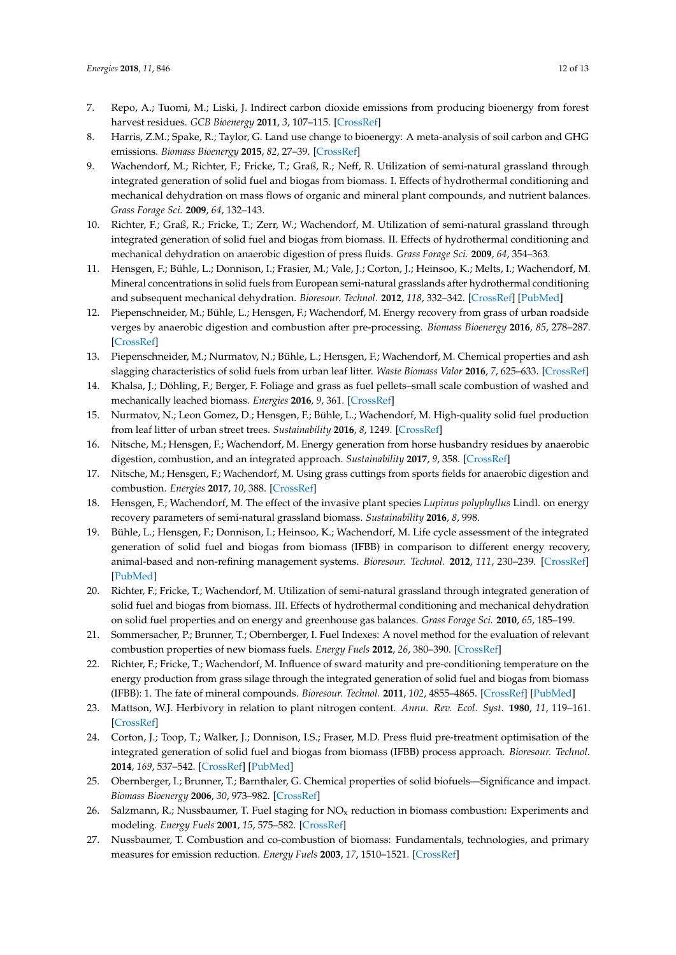- <span id="page-11-0"></span>7. Repo, A.; Tuomi, M.; Liski, J. Indirect carbon dioxide emissions from producing bioenergy from forest harvest residues. *GCB Bioenergy* **2011**, *3*, 107–115. [\[CrossRef\]](http://dx.doi.org/10.1111/j.1757-1707.2010.01065.x)
- <span id="page-11-1"></span>8. Harris, Z.M.; Spake, R.; Taylor, G. Land use change to bioenergy: A meta-analysis of soil carbon and GHG emissions. *Biomass Bioenergy* **2015**, *82*, 27–39. [\[CrossRef\]](http://dx.doi.org/10.1016/j.biombioe.2015.05.008)
- <span id="page-11-2"></span>9. Wachendorf, M.; Richter, F.; Fricke, T.; Graß, R.; Neff, R. Utilization of semi-natural grassland through integrated generation of solid fuel and biogas from biomass. I. Effects of hydrothermal conditioning and mechanical dehydration on mass flows of organic and mineral plant compounds, and nutrient balances. *Grass Forage Sci.* **2009**, *64*, 132–143.
- <span id="page-11-3"></span>10. Richter, F.; Graß, R.; Fricke, T.; Zerr, W.; Wachendorf, M. Utilization of semi-natural grassland through integrated generation of solid fuel and biogas from biomass. II. Effects of hydrothermal conditioning and mechanical dehydration on anaerobic digestion of press fluids. *Grass Forage Sci.* **2009**, *64*, 354–363.
- <span id="page-11-4"></span>11. Hensgen, F.; Bühle, L.; Donnison, I.; Frasier, M.; Vale, J.; Corton, J.; Heinsoo, K.; Melts, I.; Wachendorf, M. Mineral concentrations in solid fuels from European semi-natural grasslands after hydrothermal conditioning and subsequent mechanical dehydration. *Bioresour. Technol.* **2012**, *118*, 332–342. [\[CrossRef\]](http://dx.doi.org/10.1016/j.biortech.2012.05.035) [\[PubMed\]](http://www.ncbi.nlm.nih.gov/pubmed/22705540)
- <span id="page-11-5"></span>12. Piepenschneider, M.; Bühle, L.; Hensgen, F.; Wachendorf, M. Energy recovery from grass of urban roadside verges by anaerobic digestion and combustion after pre-processing. *Biomass Bioenergy* **2016**, *85*, 278–287. [\[CrossRef\]](http://dx.doi.org/10.1016/j.biombioe.2015.12.012)
- <span id="page-11-6"></span>13. Piepenschneider, M.; Nurmatov, N.; Bühle, L.; Hensgen, F.; Wachendorf, M. Chemical properties and ash slagging characteristics of solid fuels from urban leaf litter. *Waste Biomass Valor* **2016**, *7*, 625–633. [\[CrossRef\]](http://dx.doi.org/10.1007/s12649-015-9457-1)
- <span id="page-11-7"></span>14. Khalsa, J.; Döhling, F.; Berger, F. Foliage and grass as fuel pellets–small scale combustion of washed and mechanically leached biomass. *Energies* **2016**, *9*, 361. [\[CrossRef\]](http://dx.doi.org/10.3390/en9050361)
- <span id="page-11-8"></span>15. Nurmatov, N.; Leon Gomez, D.; Hensgen, F.; Bühle, L.; Wachendorf, M. High-quality solid fuel production from leaf litter of urban street trees. *Sustainability* **2016**, *8*, 1249. [\[CrossRef\]](http://dx.doi.org/10.3390/su8121249)
- <span id="page-11-9"></span>16. Nitsche, M.; Hensgen, F.; Wachendorf, M. Energy generation from horse husbandry residues by anaerobic digestion, combustion, and an integrated approach. *Sustainability* **2017**, *9*, 358. [\[CrossRef\]](http://dx.doi.org/10.3390/su9030358)
- <span id="page-11-10"></span>17. Nitsche, M.; Hensgen, F.; Wachendorf, M. Using grass cuttings from sports fields for anaerobic digestion and combustion. *Energies* **2017**, *10*, 388. [\[CrossRef\]](http://dx.doi.org/10.3390/en10030388)
- <span id="page-11-11"></span>18. Hensgen, F.; Wachendorf, M. The effect of the invasive plant species *Lupinus polyphyllus* Lindl. on energy recovery parameters of semi-natural grassland biomass. *Sustainability* **2016**, *8*, 998.
- <span id="page-11-12"></span>19. Bühle, L.; Hensgen, F.; Donnison, I.; Heinsoo, K.; Wachendorf, M. Life cycle assessment of the integrated generation of solid fuel and biogas from biomass (IFBB) in comparison to different energy recovery, animal-based and non-refining management systems. *Bioresour. Technol.* **2012**, *111*, 230–239. [\[CrossRef\]](http://dx.doi.org/10.1016/j.biortech.2012.02.072) [\[PubMed\]](http://www.ncbi.nlm.nih.gov/pubmed/22405758)
- <span id="page-11-13"></span>20. Richter, F.; Fricke, T.; Wachendorf, M. Utilization of semi-natural grassland through integrated generation of solid fuel and biogas from biomass. III. Effects of hydrothermal conditioning and mechanical dehydration on solid fuel properties and on energy and greenhouse gas balances. *Grass Forage Sci.* **2010**, *65*, 185–199.
- <span id="page-11-14"></span>21. Sommersacher, P.; Brunner, T.; Obernberger, I. Fuel Indexes: A novel method for the evaluation of relevant combustion properties of new biomass fuels. *Energy Fuels* **2012**, *26*, 380–390. [\[CrossRef\]](http://dx.doi.org/10.1021/ef201282y)
- <span id="page-11-15"></span>22. Richter, F.; Fricke, T.; Wachendorf, M. Influence of sward maturity and pre-conditioning temperature on the energy production from grass silage through the integrated generation of solid fuel and biogas from biomass (IFBB): 1. The fate of mineral compounds. *Bioresour. Technol.* **2011**, *102*, 4855–4865. [\[CrossRef\]](http://dx.doi.org/10.1016/j.biortech.2011.01.056) [\[PubMed\]](http://www.ncbi.nlm.nih.gov/pubmed/21320774)
- <span id="page-11-16"></span>23. Mattson, W.J. Herbivory in relation to plant nitrogen content. *Annu. Rev. Ecol. Syst.* **1980**, *11*, 119–161. [\[CrossRef\]](http://dx.doi.org/10.1146/annurev.es.11.110180.001003)
- <span id="page-11-17"></span>24. Corton, J.; Toop, T.; Walker, J.; Donnison, I.S.; Fraser, M.D. Press fluid pre-treatment optimisation of the integrated generation of solid fuel and biogas from biomass (IFBB) process approach. *Bioresour. Technol.* **2014**, *169*, 537–542. [\[CrossRef\]](http://dx.doi.org/10.1016/j.biortech.2014.07.040) [\[PubMed\]](http://www.ncbi.nlm.nih.gov/pubmed/25089895)
- <span id="page-11-18"></span>25. Obernberger, I.; Brunner, T.; Barnthaler, G. Chemical properties of solid biofuels—Significance and impact. *Biomass Bioenergy* **2006**, *30*, 973–982. [\[CrossRef\]](http://dx.doi.org/10.1016/j.biombioe.2006.06.011)
- <span id="page-11-19"></span>26. Salzmann, R.; Nussbaumer, T. Fuel staging for  $NO<sub>x</sub>$  reduction in biomass combustion: Experiments and modeling. *Energy Fuels* **2001**, *15*, 575–582. [\[CrossRef\]](http://dx.doi.org/10.1021/ef0001383)
- <span id="page-11-20"></span>27. Nussbaumer, T. Combustion and co-combustion of biomass: Fundamentals, technologies, and primary measures for emission reduction. *Energy Fuels* **2003**, *17*, 1510–1521. [\[CrossRef\]](http://dx.doi.org/10.1021/ef030031q)